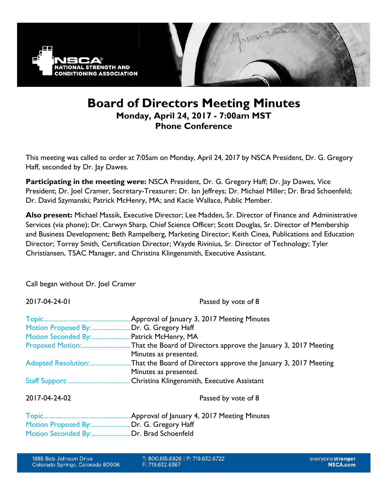

# **Board of Directors Meeting Minutes Monday, April 24, 2017 - 7:00am MST Phone Conference**

This meeting was called to order at 7:05am on Monday, April 24, 2017 by NSCA President, Dr. G. Gregory Haff, seconded by Dr. Jay Dawes.

**Participating in the meeting were:** NSCA President, Dr. G. Gregory Haff; Dr. Jay Dawes, Vice President; Dr. Joel Cramer, Secretary-Treasurer; Dr. Ian Jeffreys; Dr. Michael Miller; Dr. Brad Schoenfeld; Dr. David Szymanski; Patrick McHenry, MA; and Kacie Wallace, Public Member.

**Also present:** Michael Massik, Executive Director; Lee Madden, Sr. Director of Finance and Administrative Services (via phone); Dr. Carwyn Sharp, Chief Science Officer; Scott Douglas, Sr. Director of Membership and Business Development; Beth Rampelberg, Marketing Director; Keith Cinea, Publications and Education Director; Torrey Smith, Certification Director; Wayde Rivinius, Sr. Director of Technology; Tyler Christiansen, TSAC Manager, and Christina Klingensmith, Executive Assistant.

Call began without Dr. Joel Cramer

2017-04-24-01 Passed by vote of 8 Topic....................................................Approval of January 3, 2017 Meeting Minutes Motion Proposed By: .........................Dr. G. Gregory Haff Motion Seconded By:.......................Patrick McHenry, MA Proposed Motion:.............................That the Board of Directors approve the January 3, 2017 Meeting Minutes as presented. Adopted Resolution: ...........................That the Board of Directors approve the January 3, 2017 Meeting Minutes as presented. Staff Support: .....................................Christina Klingensmith, Executive Assistant 2017-04-24-02 Passed by vote of 8

Topic....................................................Approval of January 4, 2017 Meeting Minutes Motion Proposed By: .......................Dr. G. Gregory Haff Motion Seconded By:.......................Dr. Brad Schoenfeld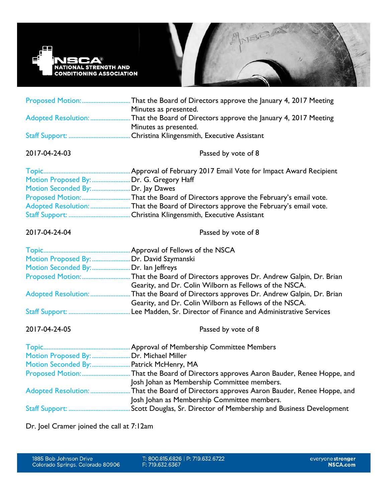

|                                          | Proposed Motion:That the Board of Directors approve the January 4, 2017 Meeting<br>Minutes as presented.                                        |
|------------------------------------------|-------------------------------------------------------------------------------------------------------------------------------------------------|
|                                          | Adopted Resolution: That the Board of Directors approve the January 4, 2017 Meeting<br>Minutes as presented.                                    |
|                                          |                                                                                                                                                 |
| 2017-04-24-03                            | Passed by vote of 8                                                                                                                             |
|                                          |                                                                                                                                                 |
| Motion Proposed By:  Dr. G. Gregory Haff |                                                                                                                                                 |
| Motion Seconded By:Dr. Jay Dawes         | Proposed Motion:That the Board of Directors approve the February's email vote.                                                                  |
|                                          | Adopted Resolution: That the Board of Directors approve the February's email vote.                                                              |
|                                          |                                                                                                                                                 |
| 2017-04-24-04                            | Passed by vote of 8                                                                                                                             |
|                                          |                                                                                                                                                 |
| Motion Proposed By: Dr. David Szymanski  |                                                                                                                                                 |
| Motion Seconded By: Dr. lan Jeffreys     |                                                                                                                                                 |
|                                          | Proposed Motion:That the Board of Directors approves Dr. Andrew Galpin, Dr. Brian<br>Gearity, and Dr. Colin Wilborn as Fellows of the NSCA.     |
|                                          | Adopted Resolution: That the Board of Directors approves Dr. Andrew Galpin, Dr. Brian<br>Gearity, and Dr. Colin Wilborn as Fellows of the NSCA. |
|                                          |                                                                                                                                                 |
| 2017-04-24-05                            | Passed by vote of 8                                                                                                                             |
|                                          |                                                                                                                                                 |
| Motion Proposed By:  Dr. Michael Miller  |                                                                                                                                                 |
| Motion Seconded By: Patrick McHenry, MA  |                                                                                                                                                 |
|                                          | Proposed Motion:That the Board of Directors approves Aaron Bauder, Renee Hoppe, and<br>Josh Johan as Membership Committee members.              |
|                                          | Adopted Resolution: That the Board of Directors approves Aaron Bauder, Renee Hoppe, and                                                         |
|                                          | Josh Johan as Membership Committee members.                                                                                                     |
|                                          |                                                                                                                                                 |

Dr. Joel Cramer joined the call at 7:12am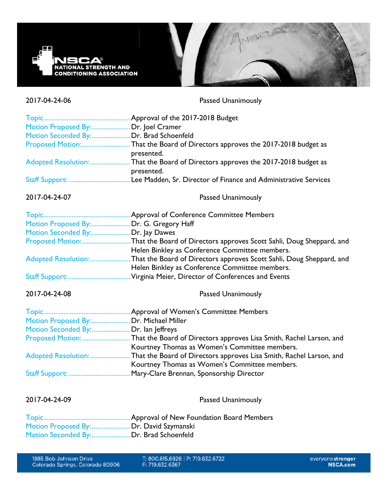

2017-04-24-06 Passed Unanimously

| Motion Proposed By:  Dr. Joel Cramer     |                                                                                          |
|------------------------------------------|------------------------------------------------------------------------------------------|
| Motion Seconded By: Dr. Brad Schoenfeld  |                                                                                          |
|                                          | Proposed Motion:That the Board of Directors approves the 2017-2018 budget as             |
|                                          | presented.                                                                               |
|                                          | Adopted Resolution: That the Board of Directors approves the 2017-2018 budget as         |
|                                          | presented.                                                                               |
|                                          |                                                                                          |
| 2017-04-24-07                            | <b>Passed Unanimously</b>                                                                |
|                                          |                                                                                          |
| Motion Proposed By:  Dr. G. Gregory Haff |                                                                                          |
| Motion Seconded By:Dr. Jay Dawes         |                                                                                          |
|                                          | Proposed Motion:That the Board of Directors approves Scott Sahli, Doug Sheppard, and     |
|                                          | Helen Binkley as Conference Committee members.                                           |
|                                          | Adopted Resolution: That the Board of Directors approves Scott Sahli, Doug Sheppard, and |
|                                          | Helen Binkley as Conference Committee members.                                           |
|                                          |                                                                                          |
| 2017-04-24-08                            | <b>Passed Unanimously</b>                                                                |
|                                          |                                                                                          |
| Motion Proposed By:  Dr. Michael Miller  |                                                                                          |
| Motion Seconded By:Dr. lan Jeffreys      |                                                                                          |
|                                          | Proposed Motion:That the Board of Directors approves Lisa Smith, Rachel Larson, and      |
|                                          | Kourtney Thomas as Women's Committee members.                                            |
|                                          | Adopted Resolution: That the Board of Directors approves Lisa Smith, Rachel Larson, and  |
|                                          | Kourtney Thomas as Women's Committee members.                                            |
|                                          |                                                                                          |
|                                          |                                                                                          |

2017-04-24-09 Passed Unanimously

Topic....................................................Approval of New Foundation Board Members Motion Proposed By: .........................Dr. David Szymanski Motion Seconded By:.......................Dr. Brad Schoenfeld

T: 800.815.6826 | P: 719.632.6722 F: 719.632.6367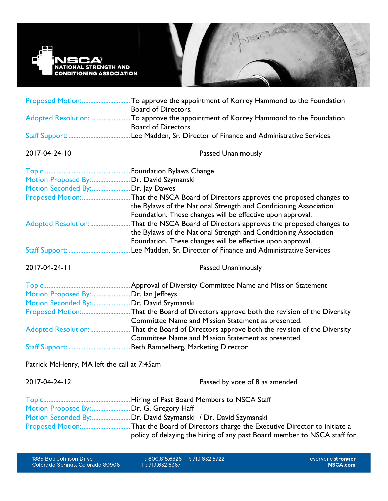

| Proposed Motion:                         | To approve the appointment of Korrey Hammond to the Foundation<br>Board of Directors.                                                                                                               |
|------------------------------------------|-----------------------------------------------------------------------------------------------------------------------------------------------------------------------------------------------------|
| Adopted Resolution:                      | To approve the appointment of Korrey Hammond to the Foundation<br>Board of Directors.                                                                                                               |
|                                          | Lee Madden, Sr. Director of Finance and Administrative Services                                                                                                                                     |
| 2017-04-24-10                            | <b>Passed Unanimously</b>                                                                                                                                                                           |
|                                          |                                                                                                                                                                                                     |
| Motion Proposed By:  Dr. David Szymanski |                                                                                                                                                                                                     |
| Motion Seconded By:Dr. Jay Dawes         |                                                                                                                                                                                                     |
| Proposed Motion:                         | That the NSCA Board of Directors approves the proposed changes to<br>the Bylaws of the National Strength and Conditioning Association<br>Foundation. These changes will be effective upon approval. |
| Adopted Resolution:                      | That the NSCA Board of Directors approves the proposed changes to<br>the Bylaws of the National Strength and Conditioning Association<br>Foundation. These changes will be effective upon approval. |
|                                          | Lee Madden, Sr. Director of Finance and Administrative Services                                                                                                                                     |

2017-04-24-11 Passed Unanimously

|                                        | Approval of Diversity Committee Name and Mission Statement                                 |
|----------------------------------------|--------------------------------------------------------------------------------------------|
| Motion Proposed By:                    | Dr. Ian Jeffreys.                                                                          |
| Motion Seconded By:Dr. David Szymanski |                                                                                            |
|                                        |                                                                                            |
|                                        | Committee Name and Mission Statement as presented.                                         |
|                                        | Adopted Resolution: That the Board of Directors approve both the revision of the Diversity |
|                                        | Committee Name and Mission Statement as presented.                                         |
|                                        | Beth Rampelberg, Marketing Director                                                        |

Patrick McHenry, MA left the call at 7:45am

| 2017-04-24-12 | Passed by vote of 8 as amended                                           |
|---------------|--------------------------------------------------------------------------|
|               |                                                                          |
|               | Motion Proposed By: Dr. G. Gregory Haff                                  |
|               | Motion Seconded By:Dr. David Szymanski / Dr. David Szymanski             |
|               |                                                                          |
|               | policy of delaying the hiring of any past Board member to NSCA staff for |

T: 800.815.6826 | P: 719.632.6722<br>F: 719.632.6367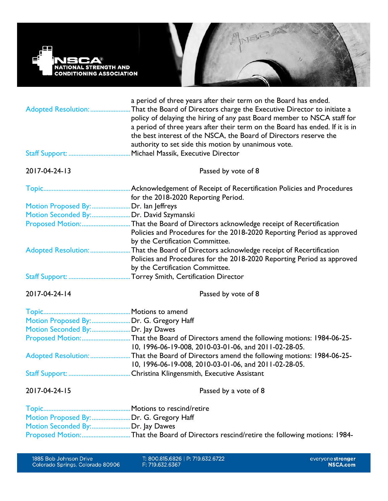

| Adopted Resolution:                   | a period of three years after their term on the Board has ended.<br>That the Board of Directors charge the Executive Director to initiate a<br>policy of delaying the hiring of any past Board member to NSCA staff for<br>a period of three years after their term on the Board has ended. If it is in<br>the best interest of the NSCA, the Board of Directors reserve the<br>authority to set side this motion by unanimous vote. |
|---------------------------------------|--------------------------------------------------------------------------------------------------------------------------------------------------------------------------------------------------------------------------------------------------------------------------------------------------------------------------------------------------------------------------------------------------------------------------------------|
|                                       | Michael Massik, Executive Director                                                                                                                                                                                                                                                                                                                                                                                                   |
| 2017-04-24-13                         | Passed by vote of 8                                                                                                                                                                                                                                                                                                                                                                                                                  |
|                                       |                                                                                                                                                                                                                                                                                                                                                                                                                                      |
|                                       | for the 2018-2020 Reporting Period.                                                                                                                                                                                                                                                                                                                                                                                                  |
| Motion Proposed By:  Dr. lan Jeffreys |                                                                                                                                                                                                                                                                                                                                                                                                                                      |
|                                       | Motion Seconded By:Dr. David Szymanski                                                                                                                                                                                                                                                                                                                                                                                               |
|                                       | Proposed Motion:That the Board of Directors acknowledge receipt of Recertification<br>Policies and Procedures for the 2018-2020 Reporting Period as approved                                                                                                                                                                                                                                                                         |
|                                       | by the Certification Committee.<br>Adopted Resolution: That the Board of Directors acknowledge receipt of Recertification<br>Policies and Procedures for the 2018-2020 Reporting Period as approved                                                                                                                                                                                                                                  |
|                                       | by the Certification Committee.                                                                                                                                                                                                                                                                                                                                                                                                      |
| 2017-04-24-14                         | Passed by vote of 8                                                                                                                                                                                                                                                                                                                                                                                                                  |
|                                       |                                                                                                                                                                                                                                                                                                                                                                                                                                      |
|                                       | Motion Proposed By:  Dr. G. Gregory Haff                                                                                                                                                                                                                                                                                                                                                                                             |
| Motion Seconded By:Dr. Jay Dawes      |                                                                                                                                                                                                                                                                                                                                                                                                                                      |
|                                       | Proposed Motion:That the Board of Directors amend the following motions: 1984-06-25-<br>10, 1996-06-19-008, 2010-03-01-06, and 2011-02-28-05.                                                                                                                                                                                                                                                                                        |
|                                       | Adopted Resolution: That the Board of Directors amend the following motions: 1984-06-25-<br>10, 1996-06-19-008, 2010-03-01-06, and 2011-02-28-05.                                                                                                                                                                                                                                                                                    |
|                                       |                                                                                                                                                                                                                                                                                                                                                                                                                                      |
| 2017-04-24-15                         | Passed by a vote of 8                                                                                                                                                                                                                                                                                                                                                                                                                |

| Motion Proposed By:  Dr. G. Gregory Haff |                                                                                         |
|------------------------------------------|-----------------------------------------------------------------------------------------|
| Motion Seconded By: Dr. Jay Dawes        |                                                                                         |
|                                          | Proposed Motion:That the Board of Directors rescind/retire the following motions: 1984- |

T: 800.815.6826 | P: 719.632.6722<br>F: 719.632.6367